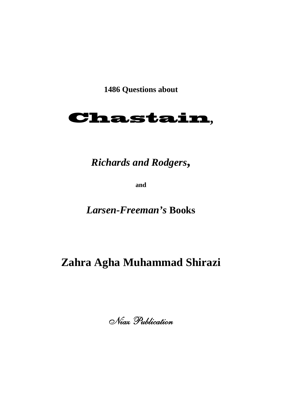**1486 Questions about** 



## *Richards and Rodgers***,**

**and** 

*Larsen-Freeman's* **Books** 

## **Zahra Agha Muhammad Shirazi**

Niaz Publication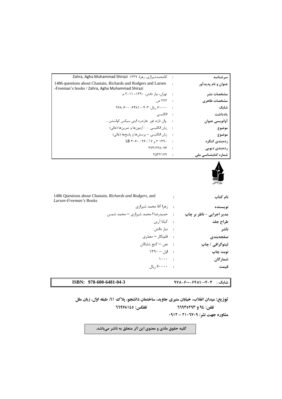| سر شناسه              | $\sim$ :                   | آقامحمدشیرازی، زهرا، ۱۳۳۷. Zahra, Agha Muhammad Shirazi                              |
|-----------------------|----------------------------|--------------------------------------------------------------------------------------|
| عنوان و نام پدیدآور   |                            | 1486 questions about Chastain, Richards and Rodgers and Larsen                       |
|                       |                            | -Freeman's books / Zahra, Agha Muhammad Shirazi                                      |
| مشخصات نشر            |                            | : تهران، نياز دانش، ١٣٩٠= ٢٠١١ م.                                                    |
| مشخصات ظاهري          |                            | $. \circ$ TVT :                                                                      |
| شابک                  |                            | $9Y\lambda - 9Y + -9Y\lambda - 1Y - 1$ , پال: ۳-۴۸–۴۴۸                               |
| ىادداشت               |                            | : انگلیسے،                                                                           |
| اوانويسي عنوان        |                            | : وان تازند فور هارندرد ایتی سیکس کواسشن …                                           |
| موضوع                 |                            | : زبان انگلیسی. - - آزمونها و تمرینها (عالی)                                         |
| موضوع                 |                            | : زبان انلگیسی – پرسش ها و پاسخها (عالی)                                             |
| ردەبندى كنگرە         | $\overline{\phantom{a}}$ : | $LB \, \gamma \cdot \gamma \cdot$ / $\gamma \cdot$ / $\gamma \cdot$ / $\gamma \cdot$ |
| ردەبندى ديويى         | $\rightarrow$              | <b>TYT/TTA.VS</b>                                                                    |
| شمارہ کتابشناسے, ملے, |                            | $T\Delta T T1V9$ :                                                                   |



٦

| 1486 Questions about Chastain, Richards and Rodgers, and<br>Larsen-Freeman's Books | نام کتاب                  |
|------------------------------------------------------------------------------------|---------------------------|
| : زهرا آقا محمد شيرازي                                                             | نويسنده                   |
| : حمیدرضا ا محمد شیرازی - محمد شمس                                                 | مدير اجرايي - ناظر بر چاپ |
| : كيانا آرين                                                                       | طراح جلد                  |
| : نياز دانش                                                                        | ناشر                      |
| : قلمهنگار – معمّری                                                                | صفحهبندى                  |
| : نص – گنج شايگان                                                                  | لیتوگرافی / چاپ           |
| $149 -  q $ :                                                                      | نوبت چاپ                  |
| $\cdots$ :                                                                         | شمارگان                   |
| $\lfloor \frac{1}{2} \rfloor$ ۰۰۰۰ ویال                                            | قيمت                      |
|                                                                                    |                           |

**شابك : 978-600-6481-04-3 978-600-6481-04-3 :ISBN** 

**توزيع: ميدان انقلاب، خيابان منيري جاويد، ساختمان دانشجو، پلاك ،61 طبقه اول، زبان ملل تلفن: 94 و 66935293 تلفكس: 66978145 مشاوره جهت نشر: 2106709 – 0912** 

**كليه حقوق مادي و معنوي اين اثر متعلق به ناشر ميباشد.**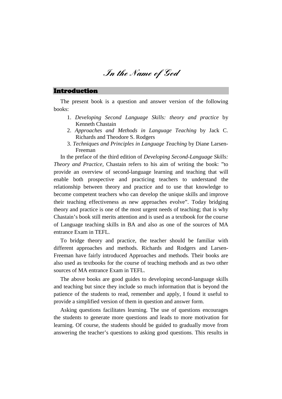**In the Name of God** 

#### Introduction

The present book is a question and answer version of the following books:

- 1. *Developing Second Language Skills: theory and practice* by Kenneth Chastain
- 2. *Approaches and Methods in Language Teaching* by Jack C. Richards and Theodore S. Rodgers
- 3. *Techniques and Principles in Language Teaching* by Diane Larsen-Freeman

In the preface of the third edition of *Developing Second-Language Skills: Theory and Practice,* Chastain refers to his aim of writing the book: "to provide an overview of second-language learning and teaching that will enable both prospective and practicing teachers to understand the relationship between theory and practice and to use that knowledge to become competent teachers who can develop the unique skills and improve their teaching effectiveness as new approaches evolve". Today bridging theory and practice is one of the most urgent needs of teaching; that is why Chastain's book still merits attention and is used as a textbook for the course of Language teaching skills in BA and also as one of the sources of MA entrance Exam in TEFL.

To bridge theory and practice, the teacher should be familiar with different approaches and methods. Richards and Rodgers and Larsen-Freeman have fairly introduced Approaches and methods. Their books are also used as textbooks for the course of teaching methods and as two other sources of MA entrance Exam in TEFL.

The above books are good guides to developing second-language skills and teaching but since they include so much information that is beyond the patience of the students to read, remember and apply, I found it useful to provide a simplified version of them in question and answer form.

Asking questions facilitates learning. The use of questions encourages the students to generate more questions and leads to more motivation for learning. Of course, the students should be guided to gradually move from answering the teacher's questions to asking good questions. This results in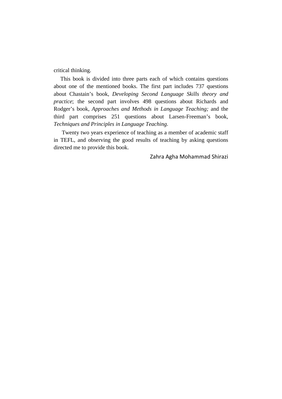critical thinking.

This book is divided into three parts each of which contains questions about one of the mentioned books. The first part includes 737 questions about Chastain's book, *Developing Second Language Skills theory and practice*; the second part involves 498 questions about Richards and Rodger's book, *Approaches and Methods in Language Teaching;* and the third part comprises 251 questions about Larsen-Freeman's book, *Techniques and Principles in Language Teaching*.

 Twenty two years experience of teaching as a member of academic staff in TEFL, and observing the good results of teaching by asking questions directed me to provide this book.

Zahra Agha Mohammad Shirazi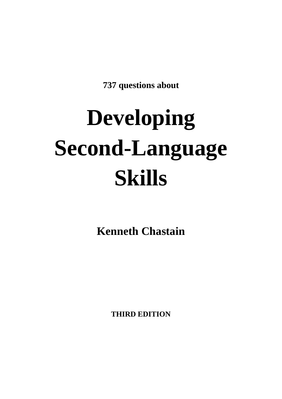**737 questions about** 

# **Developing Second-Language Skills**

**Kenneth Chastain** 

**THIRD EDITION**